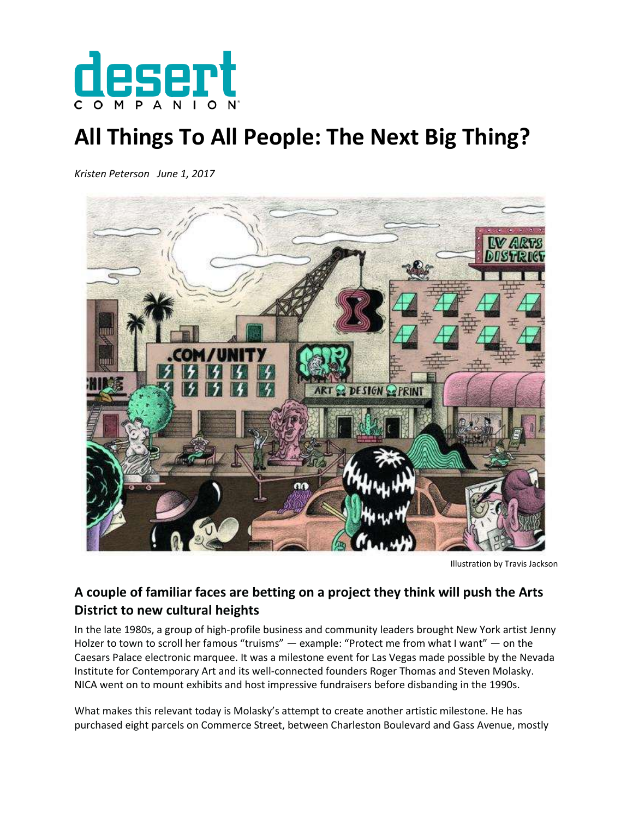

## **All Things To All People: The Next Big Thing?**

*Kristen Peterson June 1, 2017*



Illustration by Travis Jackson

## **A couple of familiar faces are betting on a project they think will push the Arts District to new cultural heights**

In the late 1980s, a group of high-profile business and community leaders brought New York artist Jenny Holzer to town to scroll her famous "truisms" — example: "Protect me from what I want" — on the Caesars Palace electronic marquee. It was a milestone event for Las Vegas made possible by the Nevada Institute for Contemporary Art and its well-connected founders Roger Thomas and Steven Molasky. NICA went on to mount exhibits and host impressive fundraisers before disbanding in the 1990s.

What makes this relevant today is Molasky's attempt to create another artistic milestone. He has purchased eight parcels on Commerce Street, between Charleston Boulevard and Gass Avenue, mostly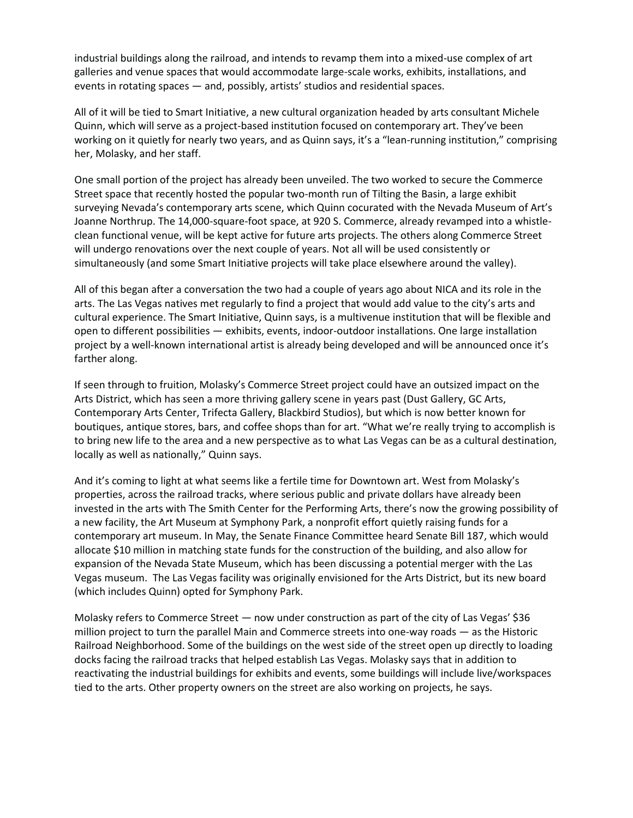industrial buildings along the railroad, and intends to revamp them into a mixed-use complex of art galleries and venue spaces that would accommodate large-scale works, exhibits, installations, and events in rotating spaces — and, possibly, artists' studios and residential spaces.

All of it will be tied to Smart Initiative, a new cultural organization headed by arts consultant Michele Quinn, which will serve as a project-based institution focused on contemporary art. They've been working on it quietly for nearly two years, and as Quinn says, it's a "lean-running institution," comprising her, Molasky, and her staff.

One small portion of the project has already been unveiled. The two worked to secure the Commerce Street space that recently hosted the popular two-month run of Tilting the Basin, a large exhibit surveying Nevada's contemporary arts scene, which Quinn cocurated with the Nevada Museum of Art's Joanne Northrup. The 14,000-square-foot space, at 920 S. Commerce, already revamped into a whistleclean functional venue, will be kept active for future arts projects. The others along Commerce Street will undergo renovations over the next couple of years. Not all will be used consistently or simultaneously (and some Smart Initiative projects will take place elsewhere around the valley).

All of this began after a conversation the two had a couple of years ago about NICA and its role in the arts. The Las Vegas natives met regularly to find a project that would add value to the city's arts and cultural experience. The Smart Initiative, Quinn says, is a multivenue institution that will be flexible and open to different possibilities — exhibits, events, indoor-outdoor installations. One large installation project by a well-known international artist is already being developed and will be announced once it's farther along.

If seen through to fruition, Molasky's Commerce Street project could have an outsized impact on the Arts District, which has seen a more thriving gallery scene in years past (Dust Gallery, GC Arts, Contemporary Arts Center, Trifecta Gallery, Blackbird Studios), but which is now better known for boutiques, antique stores, bars, and coffee shops than for art. "What we're really trying to accomplish is to bring new life to the area and a new perspective as to what Las Vegas can be as a cultural destination, locally as well as nationally," Quinn says.

And it's coming to light at what seems like a fertile time for Downtown art. West from Molasky's properties, across the railroad tracks, where serious public and private dollars have already been invested in the arts with The Smith Center for the Performing Arts, there's now the growing possibility of a new facility, the Art Museum at Symphony Park, a nonprofit effort quietly raising funds for a contemporary art museum. In May, the Senate Finance Committee heard Senate Bill 187, which would allocate \$10 million in matching state funds for the construction of the building, and also allow for expansion of the Nevada State Museum, which has been discussing a potential merger with the Las Vegas museum. The Las Vegas facility was originally envisioned for the Arts District, but its new board (which includes Quinn) opted for Symphony Park.

Molasky refers to Commerce Street — now under construction as part of the city of Las Vegas' \$36 million project to turn the parallel Main and Commerce streets into one-way roads — as the Historic Railroad Neighborhood. Some of the buildings on the west side of the street open up directly to loading docks facing the railroad tracks that helped establish Las Vegas. Molasky says that in addition to reactivating the industrial buildings for exhibits and events, some buildings will include live/workspaces tied to the arts. Other property owners on the street are also working on projects, he says.